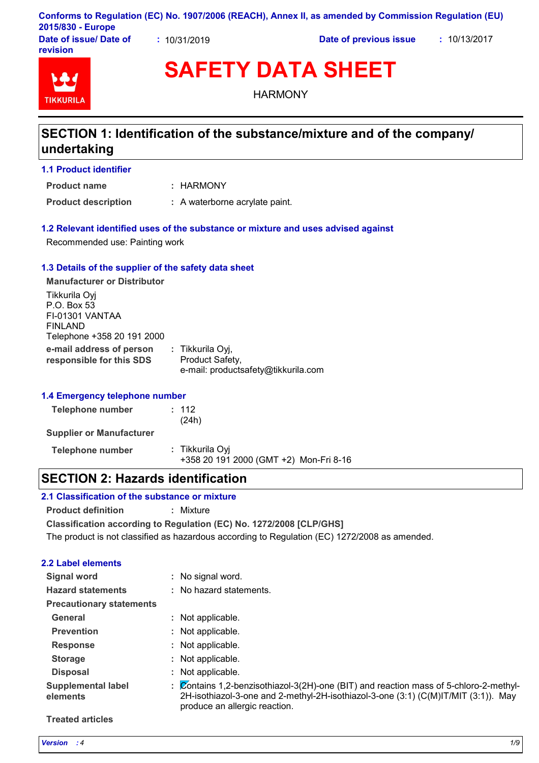|                         |           | Conforms to Regulation (EC) No. 1907/2006 (REACH), Annex II, as amended by Commission Regulation (EU) |            |
|-------------------------|-----------|-------------------------------------------------------------------------------------------------------|------------|
| 2015/830 - Europe       |           |                                                                                                       |            |
| Dota of incural Dota of | 101010000 | Data of music is in lance                                                                             | 1011210017 |

**Date of issue/ Date of revision**

**:** 10/31/2019 **Date of previous issue :** 10/13/2017



# **SAFETY DATA SHEET**

**HARMONY** 

## **SECTION 1: Identification of the substance/mixture and of the company/ undertaking**

## **1.1 Product identifier**

HARMONY **: Product name**

**Product description :** A waterborne acrylate paint.

## **1.2 Relevant identified uses of the substance or mixture and uses advised against**

Recommended use: Painting work

### **1.3 Details of the supplier of the safety data sheet**

**e-mail address of person responsible for this SDS :** Tikkurila Oyj, Product Safety, e-mail: productsafety@tikkurila.com **Manufacturer or Distributor** Tikkurila Oyj P.O. Box 53 FI-01301 VANTAA FINLAND Telephone +358 20 191 2000

## **1.4 Emergency telephone number**

| Telephone number                | : 112<br>(24h)                                            |
|---------------------------------|-----------------------------------------------------------|
| <b>Supplier or Manufacturer</b> |                                                           |
| <b>Telephone number</b>         | : Tikkurila Oyi<br>+358 20 191 2000 (GMT +2) Mon-Fri 8-16 |

## **SECTION 2: Hazards identification**

## **2.1 Classification of the substance or mixture**

**Product definition :** Mixture

**Classification according to Regulation (EC) No. 1272/2008 [CLP/GHS]**

The product is not classified as hazardous according to Regulation (EC) 1272/2008 as amended.

## **2.2 Label elements**

| <b>Signal word</b>                    | No signal word.                                                                                                                                                                                              |
|---------------------------------------|--------------------------------------------------------------------------------------------------------------------------------------------------------------------------------------------------------------|
| <b>Hazard statements</b>              | : No hazard statements.                                                                                                                                                                                      |
| <b>Precautionary statements</b>       |                                                                                                                                                                                                              |
| General                               | : Not applicable.                                                                                                                                                                                            |
| <b>Prevention</b>                     | : Not applicable.                                                                                                                                                                                            |
| <b>Response</b>                       | Not applicable.                                                                                                                                                                                              |
| <b>Storage</b>                        | : Not applicable.                                                                                                                                                                                            |
| <b>Disposal</b>                       | : Not applicable.                                                                                                                                                                                            |
| <b>Supplemental label</b><br>elements | : Contains 1,2-benzisothiazol-3(2H)-one (BIT) and reaction mass of 5-chloro-2-methyl-<br>2H-isothiazol-3-one and 2-methyl-2H-isothiazol-3-one (3:1) (C(M)IT/MIT (3:1)). May<br>produce an allergic reaction. |

### **Treated articles**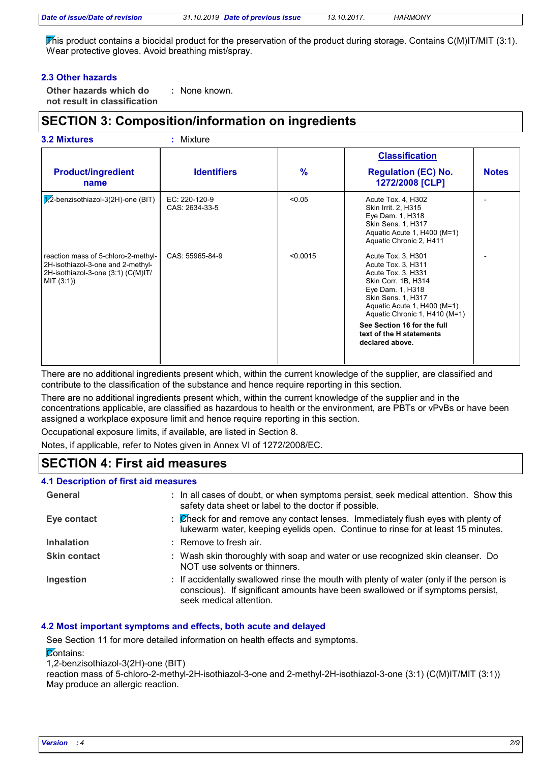This product contains a biocidal product for the preservation of the product during storage. Contains C(M)IT/MIT (3:1). Wear protective gloves. Avoid breathing mist/spray.

## **2.3 Other hazards**

**Other hazards which do : not result in classification** : None known.

## **SECTION 3: Composition/information on ingredients**

|                                                                                                                              |                                 |               | <b>Classification</b>                                                                                                                                                                                                                                                         |              |
|------------------------------------------------------------------------------------------------------------------------------|---------------------------------|---------------|-------------------------------------------------------------------------------------------------------------------------------------------------------------------------------------------------------------------------------------------------------------------------------|--------------|
| <b>Product/ingredient</b><br>name                                                                                            | <b>Identifiers</b>              | $\frac{9}{6}$ | <b>Regulation (EC) No.</b><br>1272/2008 [CLP]                                                                                                                                                                                                                                 | <b>Notes</b> |
| 1/2-benzisothiazol-3(2H)-one (BIT)                                                                                           | EC: 220-120-9<br>CAS: 2634-33-5 | < 0.05        | Acute Tox. 4, H302<br>Skin Irrit. 2, H315<br>Eye Dam. 1, H318<br>Skin Sens. 1, H317<br>Aquatic Acute 1, H400 (M=1)<br>Aquatic Chronic 2, H411                                                                                                                                 |              |
| reaction mass of 5-chloro-2-methyl-<br>2H-isothiazol-3-one and 2-methyl-<br>2H-isothiazol-3-one (3:1) (C(M)IT/<br>MIT (3:1)) | CAS: 55965-84-9                 | < 0.0015      | Acute Tox. 3, H301<br>Acute Tox. 3, H311<br>Acute Tox. 3, H331<br>Skin Corr. 1B, H314<br>Eye Dam. 1, H318<br>Skin Sens. 1, H317<br>Aquatic Acute 1, H400 (M=1)<br>Aquatic Chronic 1, H410 (M=1)<br>See Section 16 for the full<br>text of the H statements<br>declared above. |              |

There are no additional ingredients present which, within the current knowledge of the supplier, are classified and contribute to the classification of the substance and hence require reporting in this section.

There are no additional ingredients present which, within the current knowledge of the supplier and in the concentrations applicable, are classified as hazardous to health or the environment, are PBTs or vPvBs or have been assigned a workplace exposure limit and hence require reporting in this section.

Occupational exposure limits, if available, are listed in Section 8.

Notes, if applicable, refer to Notes given in Annex VI of 1272/2008/EC.

## **SECTION 4: First aid measures**

### **4.1 Description of first aid measures**

| General             | : In all cases of doubt, or when symptoms persist, seek medical attention. Show this<br>safety data sheet or label to the doctor if possible.                                                        |
|---------------------|------------------------------------------------------------------------------------------------------------------------------------------------------------------------------------------------------|
| Eye contact         | : Check for and remove any contact lenses. Immediately flush eyes with plenty of<br>lukewarm water, keeping eyelids open. Continue to rinse for at least 15 minutes.                                 |
| <b>Inhalation</b>   | : Remove to fresh air.                                                                                                                                                                               |
| <b>Skin contact</b> | : Wash skin thoroughly with soap and water or use recognized skin cleanser. Do<br>NOT use solvents or thinners.                                                                                      |
| Ingestion           | : If accidentally swallowed rinse the mouth with plenty of water (only if the person is<br>conscious). If significant amounts have been swallowed or if symptoms persist,<br>seek medical attention. |

## **4.2 Most important symptoms and effects, both acute and delayed**

See Section 11 for more detailed information on health effects and symptoms.

**Contains:** 

1,2-benzisothiazol-3(2H)-one (BIT)

reaction mass of 5-chloro-2-methyl-2H-isothiazol-3-one and 2-methyl-2H-isothiazol-3-one (3:1) (C(M)IT/MIT (3:1)) May produce an allergic reaction.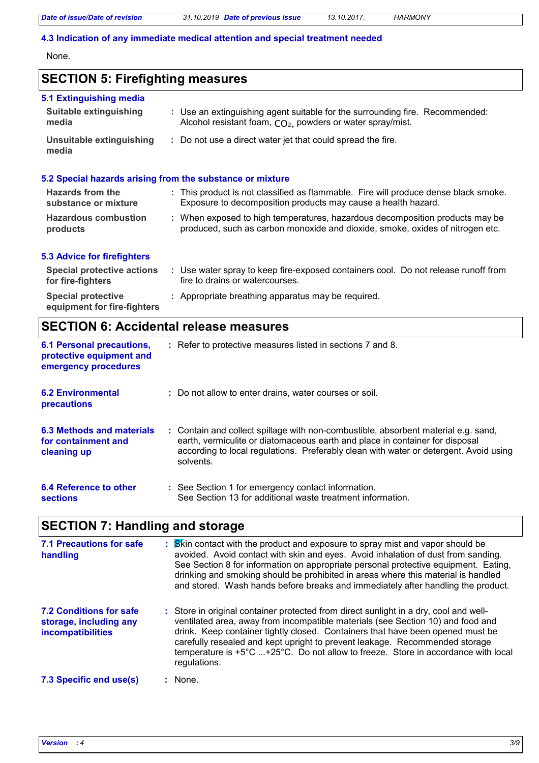*Date of issue/Date of revision 31.10.2019 Date of previous issue 13.10.2017. HARMONY*

### **4.3 Indication of any immediate medical attention and special treatment needed**

None.

## **SECTION 5: Firefighting measures**

| 5.1 Extinguishing media                                   |                                                                                                                                                               |
|-----------------------------------------------------------|---------------------------------------------------------------------------------------------------------------------------------------------------------------|
| <b>Suitable extinguishing</b><br>media                    | : Use an extinguishing agent suitable for the surrounding fire. Recommended:<br>Alcohol resistant foam, CO <sub>2</sub> , powders or water spray/mist.        |
| Unsuitable extinguishing<br>media                         | : Do not use a direct water jet that could spread the fire.                                                                                                   |
| 5.2 Special hazards arising from the substance or mixture |                                                                                                                                                               |
| Hazards from the<br>substance or mixture                  | : This product is not classified as flammable. Fire will produce dense black smoke.<br>Exposure to decomposition products may cause a health hazard.          |
| <b>Hazardous combustion</b><br>products                   | : When exposed to high temperatures, hazardous decomposition products may be<br>produced, such as carbon monoxide and dioxide, smoke, oxides of nitrogen etc. |
| <b>5.3 Advice for firefighters</b>                        |                                                                                                                                                               |
| <b>Special protective actions</b><br>for fire-fighters    | : Use water spray to keep fire-exposed containers cool. Do not release runoff from<br>fire to drains or watercourses.                                         |
| <b>Special protective</b><br>equipment for fire-fighters  | : Appropriate breathing apparatus may be required.                                                                                                            |

## **SECTION 6: Accidental release measures**

| <b>6.1 Personal precautions,</b><br>protective equipment and<br>emergency procedures | : Refer to protective measures listed in sections 7 and 8.                                                                                                                                                                                                               |
|--------------------------------------------------------------------------------------|--------------------------------------------------------------------------------------------------------------------------------------------------------------------------------------------------------------------------------------------------------------------------|
| <b>6.2 Environmental</b><br><b>precautions</b>                                       | : Do not allow to enter drains, water courses or soil.                                                                                                                                                                                                                   |
| 6.3 Methods and materials<br>for containment and<br>cleaning up                      | : Contain and collect spillage with non-combustible, absorbent material e.g. sand,<br>earth, vermiculite or diatomaceous earth and place in container for disposal<br>according to local regulations. Preferably clean with water or detergent. Avoid using<br>solvents. |
| 6.4 Reference to other<br><b>sections</b>                                            | : See Section 1 for emergency contact information.<br>See Section 13 for additional waste treatment information.                                                                                                                                                         |

## **SECTION 7: Handling and storage**

| <b>7.1 Precautions for safe</b><br>handling                                   | : Skin contact with the product and exposure to spray mist and vapor should be<br>avoided. Avoid contact with skin and eyes. Avoid inhalation of dust from sanding.<br>See Section 8 for information on appropriate personal protective equipment. Eating,<br>drinking and smoking should be prohibited in areas where this material is handled<br>and stored. Wash hands before breaks and immediately after handling the product.            |
|-------------------------------------------------------------------------------|------------------------------------------------------------------------------------------------------------------------------------------------------------------------------------------------------------------------------------------------------------------------------------------------------------------------------------------------------------------------------------------------------------------------------------------------|
| <b>7.2 Conditions for safe</b><br>storage, including any<br>incompatibilities | : Store in original container protected from direct sunlight in a dry, cool and well-<br>ventilated area, away from incompatible materials (see Section 10) and food and<br>drink. Keep container tightly closed. Containers that have been opened must be<br>carefully resealed and kept upright to prevent leakage. Recommended storage<br>temperature is +5°C +25°C. Do not allow to freeze. Store in accordance with local<br>regulations. |
| 7.3 Specific end use(s)                                                       | None.                                                                                                                                                                                                                                                                                                                                                                                                                                          |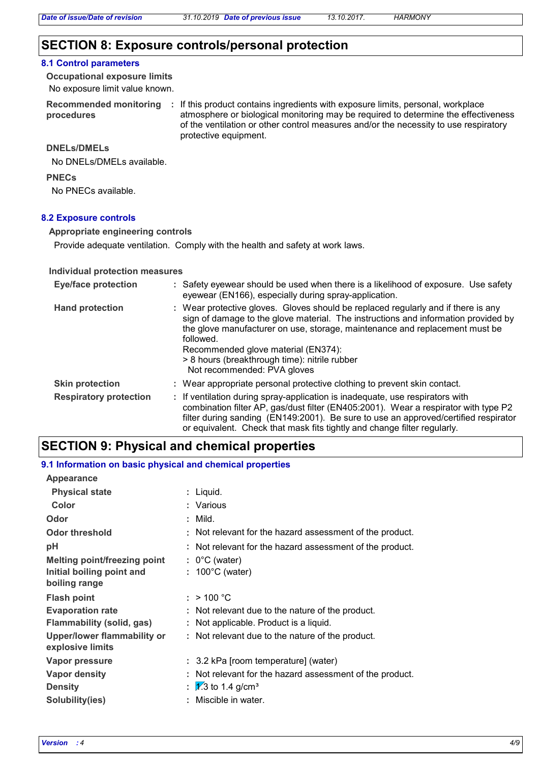## **SECTION 8: Exposure controls/personal protection**

#### **8.1 Control parameters**

No exposure limit value known. **Occupational exposure limits**

**procedures**

Recommended monitoring : If this product contains ingredients with exposure limits, personal, workplace atmosphere or biological monitoring may be required to determine the effectiveness of the ventilation or other control measures and/or the necessity to use respiratory protective equipment.

### **DNELs/DMELs**

No DNELs/DMELs available.

#### **PNECs**

No PNECs available.

### **8.2 Exposure controls**

#### **Appropriate engineering controls**

Provide adequate ventilation. Comply with the health and safety at work laws.

#### **Individual protection measures**

| <b>Eye/face protection</b>    | : Safety eyewear should be used when there is a likelihood of exposure. Use safety<br>eyewear (EN166), especially during spray-application.                                                                                                                                                                                                                                                |
|-------------------------------|--------------------------------------------------------------------------------------------------------------------------------------------------------------------------------------------------------------------------------------------------------------------------------------------------------------------------------------------------------------------------------------------|
| <b>Hand protection</b>        | : Wear protective gloves. Gloves should be replaced regularly and if there is any<br>sign of damage to the glove material. The instructions and information provided by<br>the glove manufacturer on use, storage, maintenance and replacement must be<br>followed.<br>Recommended glove material (EN374):<br>> 8 hours (breakthrough time): nitrile rubber<br>Not recommended: PVA gloves |
| <b>Skin protection</b>        | : Wear appropriate personal protective clothing to prevent skin contact.                                                                                                                                                                                                                                                                                                                   |
| <b>Respiratory protection</b> | : If ventilation during spray-application is inadequate, use respirators with<br>combination filter AP, gas/dust filter (EN405:2001). Wear a respirator with type P2<br>filter during sanding (EN149:2001). Be sure to use an approved/certified respirator<br>or equivalent. Check that mask fits tightly and change filter regularly.                                                    |

## **SECTION 9: Physical and chemical properties**

#### **Physical state Melting point/freezing point Initial boiling point and boiling range Vapor pressure Density Vapor density Solubility(ies)** Liquid. **: 1.3** to 1.4 g/cm<sup>3</sup> **Odor** : Mild. **pH Color** : Various **Evaporation rate Flash point** Not relevant for the hazard assessment of the product. **: Odor threshold Not relevant for the hazard assessment of the product. Upper/lower flammability or explosive limits :** 0°C (water) **:** 100°C (water) **:** 3.2 kPa [room temperature] (water) **:** Not relevant for the hazard assessment of the product. **:** Not relevant due to the nature of the product. **:** Miscible in water.  $: > 100 °C$ **:** Not relevant due to the nature of the product. **9.1 Information on basic physical and chemical properties Appearance Flammability (solid, gas) :** Not applicable. Product is a liquid.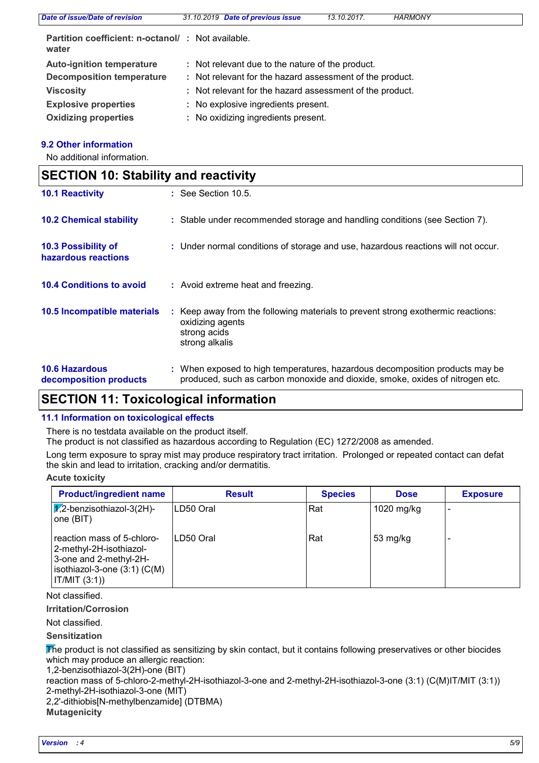| Date of issue/Date of revision                                     | 31.10.2019 Date of previous issue                        | 13.10.2017. | <b>HARMONY</b> |  |
|--------------------------------------------------------------------|----------------------------------------------------------|-------------|----------------|--|
| <b>Partition coefficient: n-octanol/ : Not available.</b><br>water |                                                          |             |                |  |
| <b>Auto-ignition temperature</b>                                   | : Not relevant due to the nature of the product.         |             |                |  |
| <b>Decomposition temperature</b>                                   | : Not relevant for the hazard assessment of the product. |             |                |  |
| <b>Viscosity</b>                                                   | : Not relevant for the hazard assessment of the product. |             |                |  |
| <b>Explosive properties</b>                                        | : No explosive ingredients present.                      |             |                |  |
| <b>Oxidizing properties</b>                                        | : No oxidizing ingredients present.                      |             |                |  |

## **9.2 Other information**

No additional information.

| <b>SECTION 10: Stability and reactivity</b>     |                                                                                                                                                               |  |
|-------------------------------------------------|---------------------------------------------------------------------------------------------------------------------------------------------------------------|--|
| <b>10.1 Reactivity</b>                          | : See Section 10.5.                                                                                                                                           |  |
| <b>10.2 Chemical stability</b>                  | : Stable under recommended storage and handling conditions (see Section 7).                                                                                   |  |
| 10.3 Possibility of<br>hazardous reactions      | : Under normal conditions of storage and use, hazardous reactions will not occur.                                                                             |  |
| <b>10.4 Conditions to avoid</b>                 | : Avoid extreme heat and freezing.                                                                                                                            |  |
| 10.5 Incompatible materials                     | Keep away from the following materials to prevent strong exothermic reactions:<br>oxidizing agents<br>strong acids<br>strong alkalis                          |  |
| <b>10.6 Hazardous</b><br>decomposition products | : When exposed to high temperatures, hazardous decomposition products may be<br>produced, such as carbon monoxide and dioxide, smoke, oxides of nitrogen etc. |  |

## **SECTION 11: Toxicological information**

## **11.1 Information on toxicological effects**

There is no testdata available on the product itself.

The product is not classified as hazardous according to Regulation (EC) 1272/2008 as amended.

Long term exposure to spray mist may produce respiratory tract irritation. Prolonged or repeated contact can defat the skin and lead to irritation, cracking and/or dermatitis.

## **Acute toxicity**

| <b>Product/ingredient name</b>                                                                                                   | <b>Result</b> | <b>Species</b> | <b>Dose</b> | <b>Exposure</b> |
|----------------------------------------------------------------------------------------------------------------------------------|---------------|----------------|-------------|-----------------|
| $\sqrt{1/2}$ -benzisothiazol-3(2H)-<br>one (BIT)                                                                                 | ILD50 Oral    | Rat            | 1020 mg/kg  |                 |
| reaction mass of 5-chloro-<br>2-methyl-2H-isothiazol-<br>3-one and 2-methyl-2H-<br>$isothiazol-3-one(3:1)(C(M))$<br> IT/MIT(3:1) | ILD50 Oral    | Rat            | 53 mg/kg    |                 |

Not classified.

## **Irritation/Corrosion**

Not classified.

**Sensitization**

The product is not classified as sensitizing by skin contact, but it contains following preservatives or other biocides which may produce an allergic reaction:

1,2-benzisothiazol-3(2H)-one (BIT)

reaction mass of 5-chloro-2-methyl-2H-isothiazol-3-one and 2-methyl-2H-isothiazol-3-one (3:1) (C(M)IT/MIT (3:1)) 2-methyl-2H-isothiazol-3-one (MIT)

2,2'-dithiobis[N-methylbenzamide] (DTBMA)

**Mutagenicity**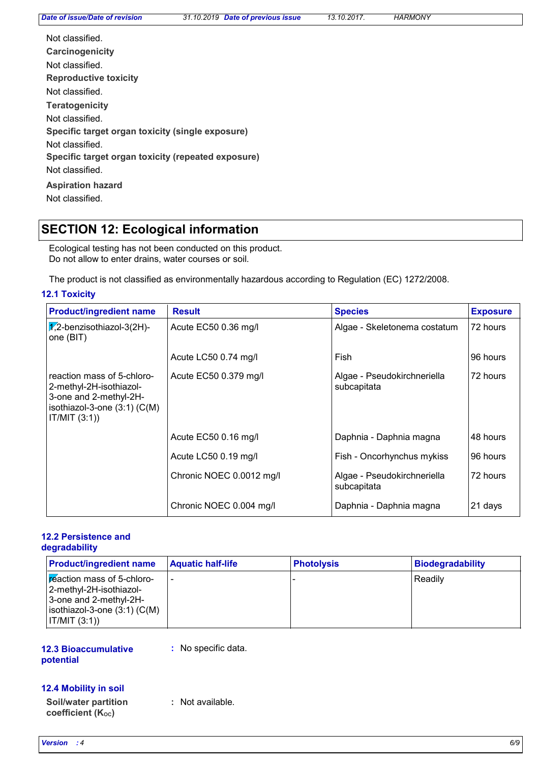*Date of issue/Date of revision 31.10.2019 Date of previous issue 13.10.2017. HARMONY*

| Not classified.<br>Carcinogenicity<br>Not classified.                 |
|-----------------------------------------------------------------------|
| <b>Reproductive toxicity</b>                                          |
| Not classified.                                                       |
| <b>Teratogenicity</b>                                                 |
| Not classified.                                                       |
| Specific target organ toxicity (single exposure)<br>Not classified.   |
| Specific target organ toxicity (repeated exposure)<br>Not classified. |
| <b>Aspiration hazard</b><br>Not classified.                           |

## **SECTION 12: Ecological information**

Ecological testing has not been conducted on this product. Do not allow to enter drains, water courses or soil.

The product is not classified as environmentally hazardous according to Regulation (EC) 1272/2008.

## **12.1 Toxicity**

| <b>Product/ingredient name</b>                                                                                                       | <b>Result</b>            | <b>Species</b>                             | <b>Exposure</b> |
|--------------------------------------------------------------------------------------------------------------------------------------|--------------------------|--------------------------------------------|-----------------|
| $\sqrt{2}$ -benzisothiazol-3(2H)-<br>one (BIT)                                                                                       | Acute EC50 0.36 mg/l     | Algae - Skeletonema costatum               | 72 hours        |
|                                                                                                                                      | Acute LC50 0.74 mg/l     | Fish                                       | 96 hours        |
| reaction mass of 5-chloro-<br>2-methyl-2H-isothiazol-<br>3-one and 2-methyl-2H-<br>isothiazol-3-one $(3:1)$ $(C(M))$<br>IT/MIT (3:1) | Acute EC50 0.379 mg/l    | Algae - Pseudokirchneriella<br>subcapitata | 72 hours        |
|                                                                                                                                      | Acute EC50 0.16 mg/l     | Daphnia - Daphnia magna                    | 48 hours        |
|                                                                                                                                      | Acute LC50 0.19 mg/l     | Fish - Oncorhynchus mykiss                 | 96 hours        |
|                                                                                                                                      | Chronic NOEC 0.0012 mg/l | Algae - Pseudokirchneriella<br>subcapitata | 72 hours        |
|                                                                                                                                      | Chronic NOEC 0.004 mg/l  | Daphnia - Daphnia magna                    | 21 days         |

### **12.2 Persistence and degradability**

| <b>Product/ingredient name</b>                                                                                                       | <b>Aquatic half-life</b> | <b>Photolysis</b> | <b>Biodegradability</b> |
|--------------------------------------------------------------------------------------------------------------------------------------|--------------------------|-------------------|-------------------------|
| Freaction mass of 5-chloro-<br>-2-methyl-2H-isothiazol <br>3-one and 2-methyl-2H-<br>$ isothiazol-3-one(3:1)(C(M)) $<br> IT/MIT(3:1) | ۰                        |                   | Readily                 |

### **12.3 Bioaccumulative potential**

**:** No specific data.

## **12.4 Mobility in soil**

**Soil/water partition coefficient (KOC) :** Not available.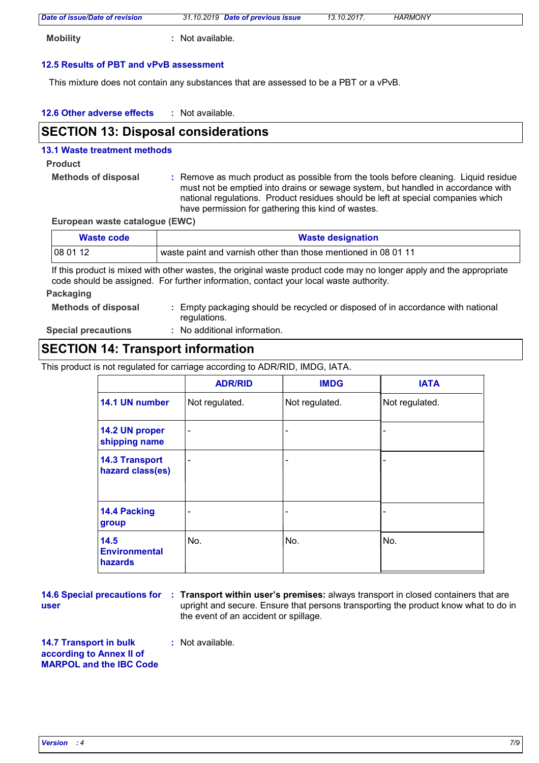|  | Date of issue/Date of revision | 31.10.2019 Date of previous issue | 13.10.2017. | <b>HARMONY</b> |  |
|--|--------------------------------|-----------------------------------|-------------|----------------|--|
|--|--------------------------------|-----------------------------------|-------------|----------------|--|

**Mobility :** Not available.

## **12.5 Results of PBT and vPvB assessment**

This mixture does not contain any substances that are assessed to be a PBT or a vPvB.

| 12.6 Other adverse effects | Not available. |
|----------------------------|----------------|
|----------------------------|----------------|

## **SECTION 13: Disposal considerations**

## **13.1 Waste treatment methods**

### **Product**

**Methods of disposal :**

Remove as much product as possible from the tools before cleaning. Liquid residue must not be emptied into drains or sewage system, but handled in accordance with national regulations. Product residues should be left at special companies which have permission for gathering this kind of wastes.

**European waste catalogue (EWC)**

| <b>Waste code</b> | <b>Waste designation</b>                                       |
|-------------------|----------------------------------------------------------------|
| 08 01 12          | waste paint and varnish other than those mentioned in 08 01 11 |

If this product is mixed with other wastes, the original waste product code may no longer apply and the appropriate code should be assigned. For further information, contact your local waste authority.

#### **Packaging**

**Methods of disposal :** Empty packaging should be recycled or disposed of in accordance with national regulations.

**Special precautions :**

No additional information.

## **SECTION 14: Transport information**

This product is not regulated for carriage according to ADR/RID, IMDG, IATA.

|                                           | <b>ADR/RID</b>           | <b>IMDG</b>              | <b>IATA</b>    |
|-------------------------------------------|--------------------------|--------------------------|----------------|
| 14.1 UN number                            | Not regulated.           | Not regulated.           | Not regulated. |
| 14.2 UN proper<br>shipping name           | $\overline{\phantom{0}}$ | $\overline{\phantom{0}}$ |                |
| <b>14.3 Transport</b><br>hazard class(es) |                          | $\overline{\phantom{0}}$ |                |
| 14.4 Packing<br>group                     |                          | -                        |                |
| 14.5<br><b>Environmental</b><br>hazards   | No.                      | No.                      | No.            |

**user**

**14.6 Special precautions for : Transport within user's premises: always transport in closed containers that are** upright and secure. Ensure that persons transporting the product know what to do in the event of an accident or spillage.

#### **14.7 Transport in bulk according to Annex II of MARPOL and the IBC Code :** Not available.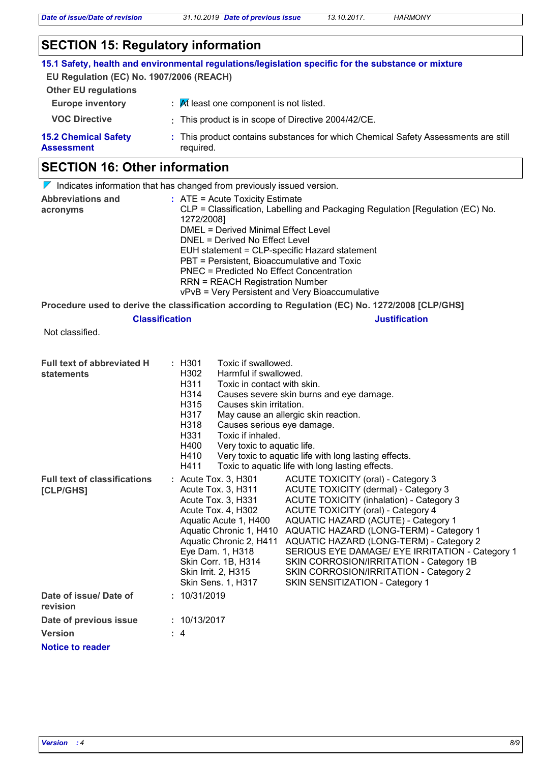*Date of issue/Date of revision 31.10.2019 Date of previous issue 13.10.2017. HARMONY*

## **SECTION 15: Regulatory information**

|                                                  | 15.1 Safety, health and environmental regulations/legislation specific for the substance or mixture |
|--------------------------------------------------|-----------------------------------------------------------------------------------------------------|
| EU Regulation (EC) No. 1907/2006 (REACH)         |                                                                                                     |
| <b>Other EU regulations</b>                      |                                                                                                     |
| <b>Europe inventory</b>                          | $\frac{1}{2}$ $\frac{1}{2}$ Rf least one component is not listed.                                   |
| <b>VOC Directive</b>                             | : This product is in scope of Directive 2004/42/CE.                                                 |
| <b>15.2 Chemical Safety</b><br><b>Assessment</b> | : This product contains substances for which Chemical Safety Assessments are still<br>required.     |
|                                                  |                                                                                                     |

## **SECTION 16: Other information**

|                                      | $\nabla$ Indicates information that has changed from previously issued version.                                                                                                                                                                                                                                                                                                                          |
|--------------------------------------|----------------------------------------------------------------------------------------------------------------------------------------------------------------------------------------------------------------------------------------------------------------------------------------------------------------------------------------------------------------------------------------------------------|
| <b>Abbreviations and</b><br>acronyms | $\therefore$ ATE = Acute Toxicity Estimate<br>CLP = Classification, Labelling and Packaging Regulation [Regulation (EC) No.<br>1272/2008]<br>DMEL = Derived Minimal Effect Level<br>DNEL = Derived No Effect Level<br>EUH statement = CLP-specific Hazard statement<br>PBT = Persistent, Bioaccumulative and Toxic<br>PNEC = Predicted No Effect Concentration<br><b>RRN = REACH Registration Number</b> |
|                                      | vPvB = Very Persistent and Very Bioaccumulative                                                                                                                                                                                                                                                                                                                                                          |

**Procedure used to derive the classification according to Regulation (EC) No. 1272/2008 [CLP/GHS]**

## **Classification Justification**

Not classified.

| <b>Full text of abbreviated H</b>   | : H301<br>Toxic if swallowed.                                                                                                   |
|-------------------------------------|---------------------------------------------------------------------------------------------------------------------------------|
| statements                          | Harmful if swallowed.<br>H <sub>302</sub>                                                                                       |
|                                     | H311<br>Toxic in contact with skin.<br>H314<br>Causes severe skin burns and eye damage.                                         |
|                                     | H315<br>Causes skin irritation.                                                                                                 |
|                                     | H317<br>May cause an allergic skin reaction.                                                                                    |
|                                     | H318<br>Causes serious eye damage.                                                                                              |
|                                     | H331<br>Toxic if inhaled.                                                                                                       |
|                                     | H400<br>Very toxic to aquatic life.                                                                                             |
|                                     | H410<br>Very toxic to aquatic life with long lasting effects.                                                                   |
|                                     | Toxic to aquatic life with long lasting effects.<br>H411                                                                        |
| <b>Full text of classifications</b> | : Acute Tox. 3, H301<br>ACUTE TOXICITY (oral) - Category 3                                                                      |
| [CLP/GHS]                           | ACUTE TOXICITY (dermal) - Category 3<br>Acute Tox. 3, H311<br>ACUTE TOXICITY (inhalation) - Category 3<br>Acute Tox. 3, H331    |
|                                     | <b>ACUTE TOXICITY (oral) - Category 4</b><br>Acute Tox. 4, H302                                                                 |
|                                     | AQUATIC HAZARD (ACUTE) - Category 1<br>Aquatic Acute 1, H400                                                                    |
|                                     | Aquatic Chronic 1, H410<br>AQUATIC HAZARD (LONG-TERM) - Category 1                                                              |
|                                     | AQUATIC HAZARD (LONG-TERM) - Category 2<br>Aquatic Chronic 2, H411                                                              |
|                                     | SERIOUS EYE DAMAGE/ EYE IRRITATION - Category 1<br>Eye Dam. 1, H318                                                             |
|                                     | Skin Corr. 1B, H314<br>SKIN CORROSION/IRRITATION - Category 1B<br>Skin Irrit. 2, H315<br>SKIN CORROSION/IRRITATION - Category 2 |
|                                     | Skin Sens. 1, H317<br>SKIN SENSITIZATION - Category 1                                                                           |
| Date of issue/ Date of<br>revision  | : 10/31/2019                                                                                                                    |
| Date of previous issue              | : 10/13/2017                                                                                                                    |
| <b>Version</b>                      | : 4                                                                                                                             |
| Notice to reader                    |                                                                                                                                 |